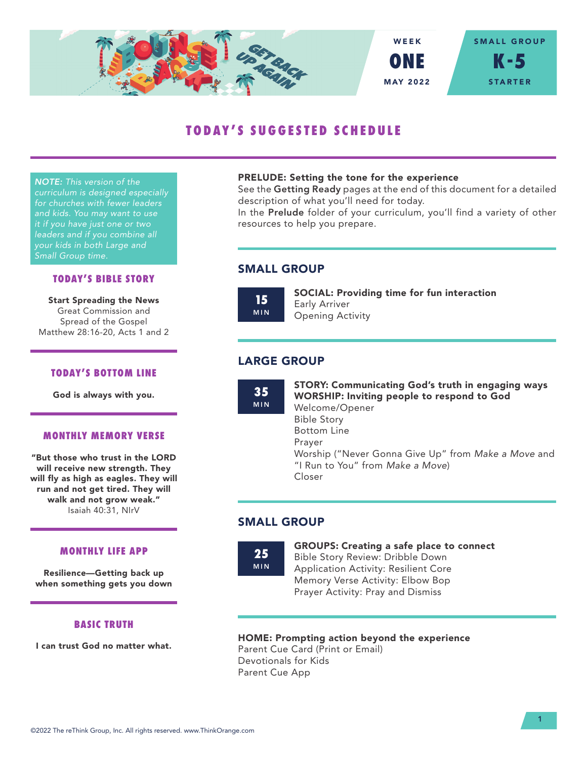

# **TODAY'S SUGGESTED SCHEDULE**

*NOTE: This version of the curriculum is designed especially for churches with fewer leaders and kids. You may want to use it if you have just one or two leaders and if you combine all your kids in both Large and Small Group time.*

## **TODAY'S BIBLE STORY**

Start Spreading the News Great Commission and Spread of the Gospel Matthew 28:16-20, Acts 1 and 2

#### **TODAY'S BOTTOM LINE**

God is always with you.

## **MONTHLY MEMORY VERSE**

"But those who trust in the LORD will receive new strength. They will fly as high as eagles. They will run and not get tired. They will walk and not grow weak." Isaiah 40:31, NIrV

#### **MONTHLY LIFE APP**

Resilience—Getting back up when something gets you down

## **BASIC TRUTH**

I can trust God no matter what.

#### PRELUDE: Setting the tone for the experience

See the Getting Ready pages at the end of this document for a detailed description of what you'll need for today.

In the Prelude folder of your curriculum, you'll find a variety of other resources to help you prepare.

# SMALL GROUP

**15** MIN SOCIAL: Providing time for fun interaction Early Arriver Opening Activity

# LARGE GROUP

**35** MIN STORY: Communicating God's truth in engaging ways WORSHIP: Inviting people to respond to God Welcome/Opener Bible Story Bottom Line Prayer Worship ("Never Gonna Give Up" from *Make a Move* and "I Run to You" from *Make a Move*) Closer

# SMALL GROUP

**25** MIN

#### GROUPS: Creating a safe place to connect Bible Story Review: Dribble Down

Application Activity: Resilient Core Memory Verse Activity: Elbow Bop Prayer Activity: Pray and Dismiss

### HOME: Prompting action beyond the experience

Parent Cue Card (Print or Email) Devotionals for Kids Parent Cue App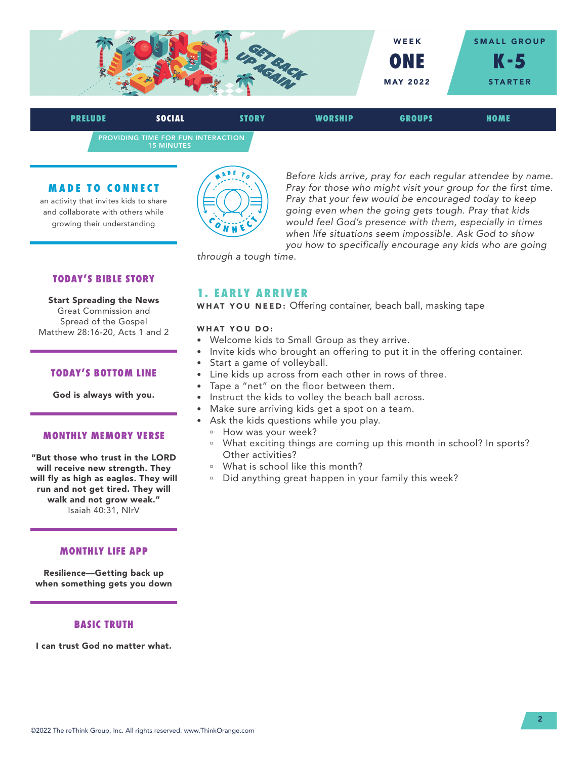

PROVIDING TIME FOR FUN INTERACTION 15 MINUTES **PRELUDE SOCIAL STORY WORSHIP GROUPS HOME**

#### **MADE TO CONNECT**

an activity that invites kids to share and collaborate with others while growing their understanding



*Before kids arrive, pray for each regular attendee by name. Pray for those who might visit your group for the first time. Pray that your few would be encouraged today to keep going even when the going gets tough. Pray that kids would feel God's presence with them, especially in times when life situations seem impossible. Ask God to show you how to specifically encourage any kids who are going* 

*through a tough time.*

### **TODAY'S BIBLE STORY**

Start Spreading the News Great Commission and Spread of the Gospel Matthew 28:16-20, Acts 1 and 2

#### **TODAY'S BOTTOM LINE**

God is always with you.

#### **MONTHLY MEMORY VERSE**

"But those who trust in the LORD will receive new strength. They will fly as high as eagles. They will run and not get tired. They will walk and not grow weak." Isaiah 40:31, NIrV

#### **MONTHLY LIFE APP**

Resilience—Getting back up when something gets you down

#### **BASIC TRUTH**

I can trust God no matter what.

## **1. EARLY ARRIVER**

WHAT YOU NEED: Offering container, beach ball, masking tape

#### WHAT YOU DO:

- Welcome kids to Small Group as they arrive.
- Invite kids who brought an offering to put it in the offering container.
- Start a game of volleyball.
- Line kids up across from each other in rows of three.
- Tape a "net" on the floor between them.
- Instruct the kids to volley the beach ball across.
- Make sure arriving kids get a spot on a team.
- Ask the kids questions while you play.
	- <sup>n</sup> How was your week?
	- <sup>n</sup> What exciting things are coming up this month in school? In sports? Other activities?
	- <sup>n</sup> What is school like this month?
	- <sup>n</sup> Did anything great happen in your family this week?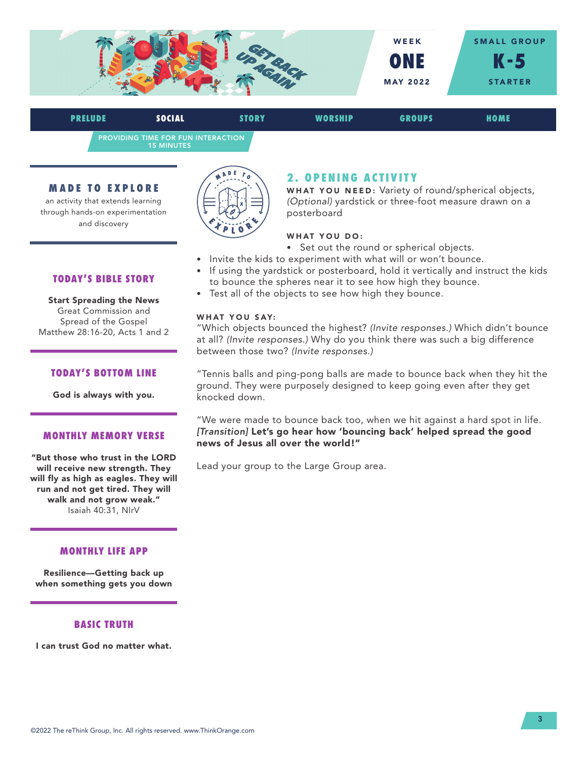

PROVIDING TIME FOR FUN INTERACTION 15 MINUTES **PRELUDE SOCIAL STORY WORSHIP GROUPS HOME**

#### **MADE TO EXPLORE**

an activity that extends learning through hands-on experimentation and discovery



# **2. OPENING ACTIVITY**

WHAT YOU NEED: Variety of round/spherical objects, *(Optional)* yardstick or three-foot measure drawn on a posterboard

### WHAT YOU DO:

- Set out the round or spherical objects.
- Invite the kids to experiment with what will or won't bounce.
- If using the yardstick or posterboard, hold it vertically and instruct the kids to bounce the spheres near it to see how high they bounce.
- Test all of the objects to see how high they bounce.

## WHAT YOU SAY:

"Which objects bounced the highest? *(Invite responses.)* Which didn't bounce at all? *(Invite responses.)* Why do you think there was such a big difference between those two? *(Invite responses.)*

"Tennis balls and ping-pong balls are made to bounce back when they hit the ground. They were purposely designed to keep going even after they get knocked down.

"We were made to bounce back too, when we hit against a hard spot in life. *[Transition]* Let's go hear how 'bouncing back' helped spread the good news of Jesus all over the world!"

Lead your group to the Large Group area.

### **TODAY'S BIBLE STORY**

Start Spreading the News Great Commission and Spread of the Gospel Matthew 28:16-20, Acts 1 and 2

#### **TODAY'S BOTTOM LINE**

God is always with you.

#### **MONTHLY MEMORY VERSE**

"But those who trust in the LORD will receive new strength. They will fly as high as eagles. They will run and not get tired. They will walk and not grow weak." Isaiah 40:31, NIrV

### **MONTHLY LIFE APP**

Resilience—Getting back up when something gets you down

### **BASIC TRUTH**

I can trust God no matter what.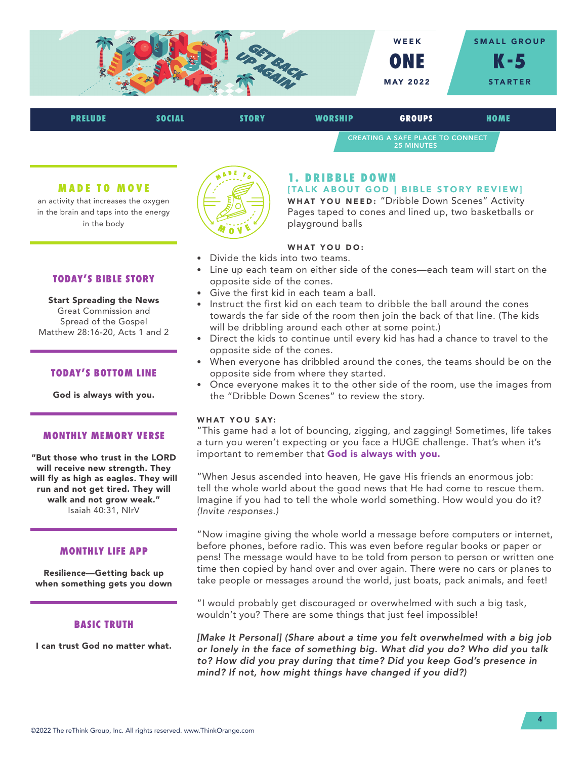

| <b>PRELUDE</b> | SOCIAL | <b>STORY</b> | WORSHIP | <b>GROUPS</b>                                         | HOME |  |
|----------------|--------|--------------|---------|-------------------------------------------------------|------|--|
|                |        |              |         | CREATING A SAFE PLACE TO CONNECT<br><b>25 MINUTES</b> |      |  |

#### **MADE TO MOVE**

an activity that increases the oxygen in the brain and taps into the energy in the body



# **1. DRIBBLE DOWN**

[TALK ABOUT GOD | BIBLE STORY REVIEW] WHAT YOU NEED: "Dribble Down Scenes" Activity Pages taped to cones and lined up, two basketballs or playground balls

# WHAT YOU DO:

- Divide the kids into two teams.
- Line up each team on either side of the cones—each team will start on the opposite side of the cones.
- Give the first kid in each team a ball.
- Instruct the first kid on each team to dribble the ball around the cones towards the far side of the room then join the back of that line. (The kids will be dribbling around each other at some point.)
- Direct the kids to continue until every kid has had a chance to travel to the opposite side of the cones.
- When everyone has dribbled around the cones, the teams should be on the opposite side from where they started.
- Once everyone makes it to the other side of the room, use the images from the "Dribble Down Scenes" to review the story.

#### WHAT YOU SAY:

"This game had a lot of bouncing, zigging, and zagging! Sometimes, life takes a turn you weren't expecting or you face a HUGE challenge. That's when it's important to remember that God is always with you.

"When Jesus ascended into heaven, He gave His friends an enormous job: tell the whole world about the good news that He had come to rescue them. Imagine if you had to tell the whole world something. How would you do it? *(Invite responses.)* 

"Now imagine giving the whole world a message before computers or internet, before phones, before radio. This was even before regular books or paper or pens! The message would have to be told from person to person or written one time then copied by hand over and over again. There were no cars or planes to take people or messages around the world, just boats, pack animals, and feet!

"I would probably get discouraged or overwhelmed with such a big task, wouldn't you? There are some things that just feel impossible!

*[Make It Personal] (Share about a time you felt overwhelmed with a big job or lonely in the face of something big. What did you do? Who did you talk to? How did you pray during that time? Did you keep God's presence in mind? If not, how might things have changed if you did?)* 

# **TODAY'S BIBLE STORY**

Start Spreading the News Great Commission and Spread of the Gospel Matthew 28:16-20, Acts 1 and 2

#### **TODAY'S BOTTOM LINE**

God is always with you.

#### **MONTHLY MEMORY VERSE**

"But those who trust in the LORD will receive new strength. They will fly as high as eagles. They will run and not get tired. They will walk and not grow weak." Isaiah 40:31, NIrV

#### **MONTHLY LIFE APP**

Resilience—Getting back up when something gets you down

#### **BASIC TRUTH**

I can trust God no matter what.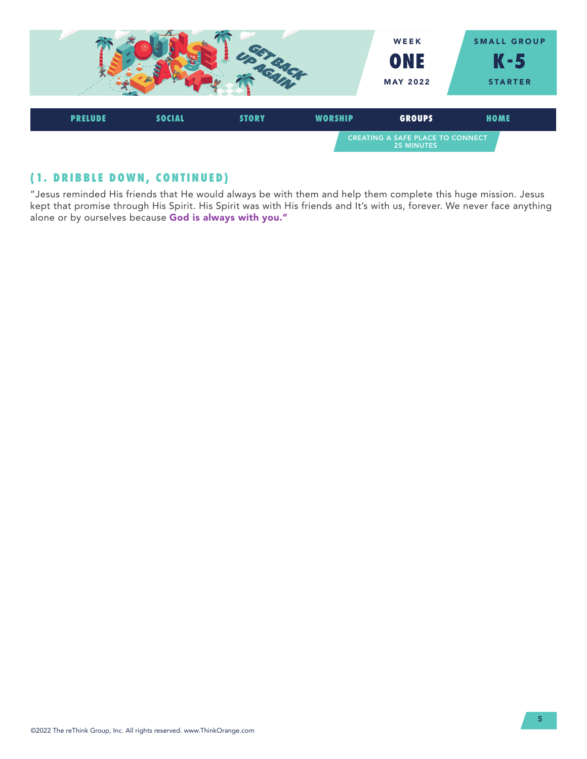

# **(1. DRIBBLE DOWN, CONTINUED)**

"Jesus reminded His friends that He would always be with them and help them complete this huge mission. Jesus kept that promise through His Spirit. His Spirit was with His friends and It's with us, forever. We never face anything alone or by ourselves because God is always with you."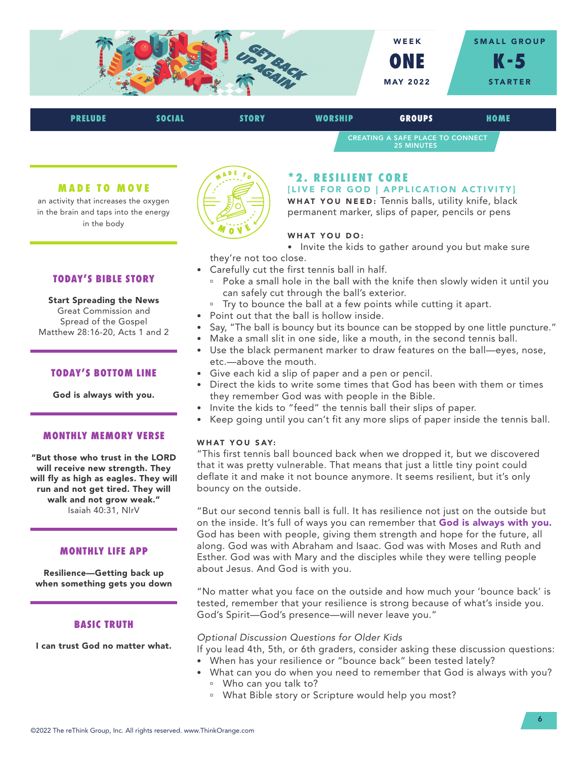

| <b>PRELUDE</b> | SOCIAL | <b>STORY</b> | <b>WORSHIP</b> | <b>GROUPS</b>                                                | HOME |  |
|----------------|--------|--------------|----------------|--------------------------------------------------------------|------|--|
|                |        |              |                | <b>CREATING A SAFE PLACE TO CONNECT</b><br><b>25 MINUTES</b> |      |  |

#### **MADE TO MOVE**

an activity that increases the oxygen in the brain and taps into the energy in the body



Start Spreading the News Great Commission and Spread of the Gospel Matthew 28:16-20, Acts 1 and 2

#### **TODAY'S BOTTOM LINE**

God is always with you.

#### **MONTHLY MEMORY VERSE**

"But those who trust in the LORD will receive new strength. They will fly as high as eagles. They will run and not get tired. They will walk and not grow weak." Isaiah 40:31, NIrV

#### **MONTHLY LIFE APP**

Resilience—Getting back up when something gets you down

#### **BASIC TRUTH**

I can trust God no matter what.



# **\* 2 . R E S I L I E N T C O R E**

[LIVE FOR GOD | APPLICATION ACTIVITY]

WHAT YOU NEED: Tennis balls, utility knife, black permanent marker, slips of paper, pencils or pens

#### WHAT YOU DO:

- Invite the kids to gather around you but make sure they're not too close.
- Carefully cut the first tennis ball in half.
	- Poke a small hole in the ball with the knife then slowly widen it until you can safely cut through the ball's exterior.
	- <sup>o</sup> Try to bounce the ball at a few points while cutting it apart.
- Point out that the ball is hollow inside.
- Say, "The ball is bouncy but its bounce can be stopped by one little puncture."
- Make a small slit in one side, like a mouth, in the second tennis ball.
- Use the black permanent marker to draw features on the ball—eyes, nose, etc.—above the mouth.
- Give each kid a slip of paper and a pen or pencil.
- Direct the kids to write some times that God has been with them or times they remember God was with people in the Bible.
- Invite the kids to "feed" the tennis ball their slips of paper.
- Keep going until you can't fit any more slips of paper inside the tennis ball.

#### WHAT YOU SAY:

"This first tennis ball bounced back when we dropped it, but we discovered that it was pretty vulnerable. That means that just a little tiny point could deflate it and make it not bounce anymore. It seems resilient, but it's only bouncy on the outside.

"But our second tennis ball is full. It has resilience not just on the outside but on the inside. It's full of ways you can remember that God is always with you. God has been with people, giving them strength and hope for the future, all along. God was with Abraham and Isaac. God was with Moses and Ruth and Esther. God was with Mary and the disciples while they were telling people about Jesus. And God is with you.

"No matter what you face on the outside and how much your 'bounce back' is tested, remember that your resilience is strong because of what's inside you. God's Spirit—God's presence—will never leave you."

#### *Optional Discussion Questions for Older Kids*

If you lead 4th, 5th, or 6th graders, consider asking these discussion questions: • When has your resilience or "bounce back" been tested lately?

- What can you do when you need to remember that God is always with you?
	- Who can you talk to?
	- <sup>a</sup> What Bible story or Scripture would help you most?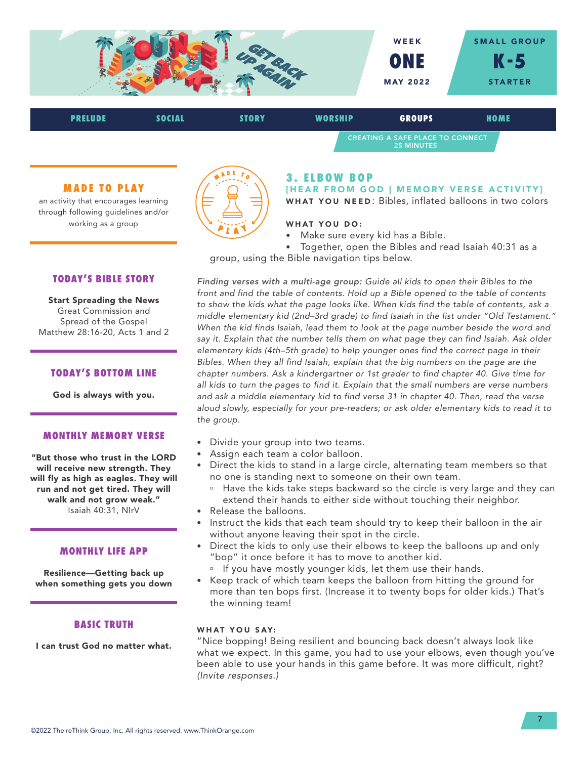

25 MINUTES

### **MADE TO PLAY**

an activity that encourages learning through following guidelines and/or working as a group

# **TODAY'S BIBLE STORY**

Start Spreading the News Great Commission and Spread of the Gospel Matthew 28:16-20, Acts 1 and 2

#### **TODAY'S BOTTOM LINE**

God is always with you.

#### **MONTHLY MEMORY VERSE**

"But those who trust in the LORD will receive new strength. They will fly as high as eagles. They will run and not get tired. They will walk and not grow weak." Isaiah 40:31, NIrV

#### **MONTHLY LIFE APP**

Resilience—Getting back up when something gets you down

#### **BASIC TRUTH**

I can trust God no matter what.



# **3. ELBOW BOP**

[HEAR FROM GOD | MEMORY VERSE ACTIVITY] WHAT YOU NEED: Bibles, inflated balloons in two colors

#### WHAT YOU DO:

• Make sure every kid has a Bible.

• Together, open the Bibles and read Isaiah 40:31 as a group, using the Bible navigation tips below.

*Finding verses with a multi-age group: Guide all kids to open their Bibles to the front and find the table of contents. Hold up a Bible opened to the table of contents to show the kids what the page looks like. When kids find the table of contents, ask a middle elementary kid (2nd–3rd grade) to find Isaiah in the list under "Old Testament."*  When the kid finds Isaiah, lead them to look at the page number beside the word and *say it. Explain that the number tells them on what page they can find Isaiah. Ask older elementary kids (4th–5th grade) to help younger ones find the correct page in their Bibles. When they all find Isaiah, explain that the big numbers on the page are the chapter numbers. Ask a kindergartner or 1st grader to find chapter 40. Give time for all kids to turn the pages to find it. Explain that the small numbers are verse numbers and ask a middle elementary kid to find verse 31 in chapter 40. Then, read the verse aloud slowly, especially for your pre-readers; or ask older elementary kids to read it to the group.*

- Divide your group into two teams.
- Assign each team a color balloon.
- Direct the kids to stand in a large circle, alternating team members so that no one is standing next to someone on their own team.
	- <sup>n</sup> Have the kids take steps backward so the circle is very large and they can extend their hands to either side without touching their neighbor.
- Release the balloons.
- Instruct the kids that each team should try to keep their balloon in the air without anyone leaving their spot in the circle.
- Direct the kids to only use their elbows to keep the balloons up and only "bop" it once before it has to move to another kid.
	- <sup>n</sup> If you have mostly younger kids, let them use their hands.
- Keep track of which team keeps the balloon from hitting the ground for more than ten bops first. (Increase it to twenty bops for older kids.) That's the winning team!

#### WHAT YOU SAY:

"Nice bopping! Being resilient and bouncing back doesn't always look like what we expect. In this game, you had to use your elbows, even though you've been able to use your hands in this game before. It was more difficult, right? *(Invite responses.)*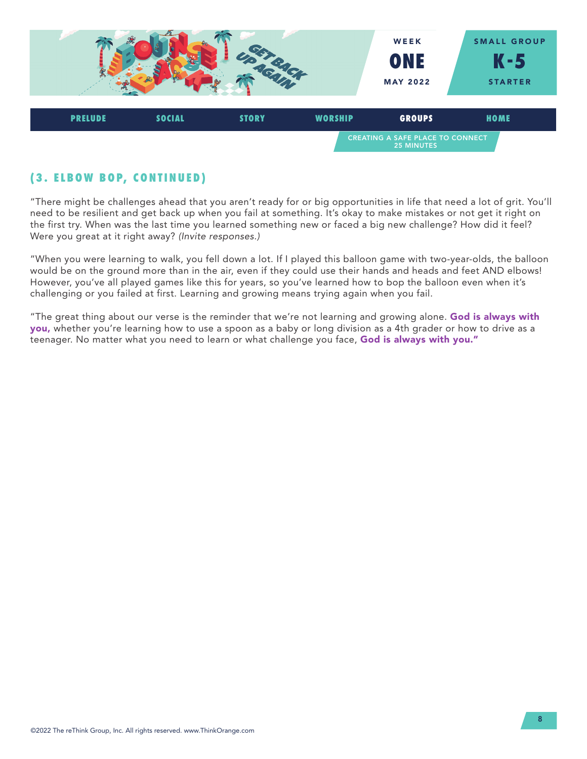

# **( 3 . E L B O W B O P, C O N T I N U E D )**

"There might be challenges ahead that you aren't ready for or big opportunities in life that need a lot of grit. You'll need to be resilient and get back up when you fail at something. It's okay to make mistakes or not get it right on the first try. When was the last time you learned something new or faced a big new challenge? How did it feel? Were you great at it right away? *(Invite responses.)* 

"When you were learning to walk, you fell down a lot. If I played this balloon game with two-year-olds, the balloon would be on the ground more than in the air, even if they could use their hands and heads and feet AND elbows! However, you've all played games like this for years, so you've learned how to bop the balloon even when it's challenging or you failed at first. Learning and growing means trying again when you fail.

"The great thing about our verse is the reminder that we're not learning and growing alone. God is always with you, whether you're learning how to use a spoon as a baby or long division as a 4th grader or how to drive as a teenager. No matter what you need to learn or what challenge you face, God is always with you."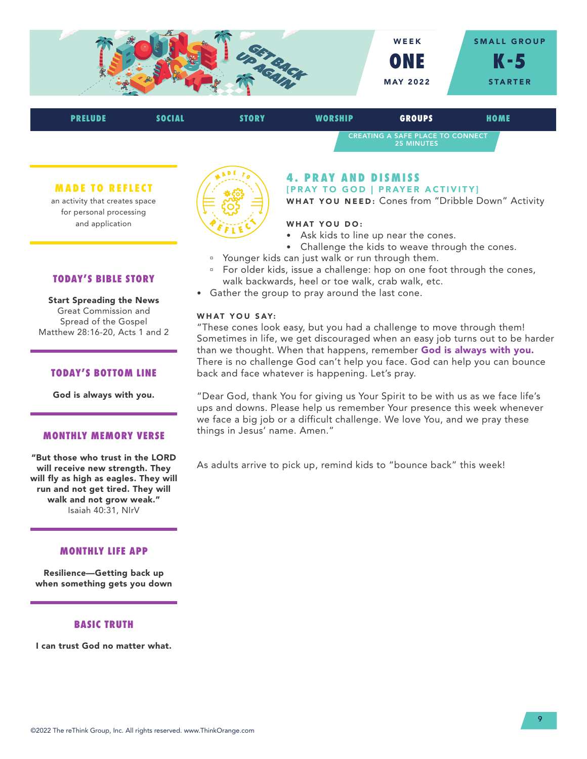

| <b>PRELUDE</b> | <b>SOCIAL</b> | <b>STORY</b> | <b>WORSHIP</b>                                               | <b>GROUPS</b> | HOME |
|----------------|---------------|--------------|--------------------------------------------------------------|---------------|------|
|                |               |              | <b>CREATING A SAFE PLACE TO CONNECT</b><br><b>25 MINUTES</b> |               |      |
|                |               |              |                                                              |               |      |

#### **MADE TO REFLECT**

an activity that creates space for personal processing and application



# **4. PRAY AND DISMISS** [PRAY TO GOD | PRAYER ACTIVITY]

WHAT YOU NEED: Cones from "Dribble Down" Activity

### WHAT YOU DO:

- Ask kids to line up near the cones.
- Challenge the kids to weave through the cones.
- <sup>a</sup> Younger kids can just walk or run through them.
- <sup>o</sup> For older kids, issue a challenge: hop on one foot through the cones, walk backwards, heel or toe walk, crab walk, etc.
- Gather the group to pray around the last cone.

#### WHAT YOU SAY:

"These cones look easy, but you had a challenge to move through them! Sometimes in life, we get discouraged when an easy job turns out to be harder than we thought. When that happens, remember God is always with you. There is no challenge God can't help you face. God can help you can bounce back and face whatever is happening. Let's pray.

"Dear God, thank You for giving us Your Spirit to be with us as we face life's ups and downs. Please help us remember Your presence this week whenever we face a big job or a difficult challenge. We love You, and we pray these things in Jesus' name. Amen."

As adults arrive to pick up, remind kids to "bounce back" this week!

# **TODAY'S BIBLE STORY**

Start Spreading the News Great Commission and Spread of the Gospel Matthew 28:16-20, Acts 1 and 2

#### **TODAY'S BOTTOM LINE**

God is always with you.

#### **MONTHLY MEMORY VERSE**

"But those who trust in the LORD will receive new strength. They will fly as high as eagles. They will run and not get tired. They will walk and not grow weak." Isaiah 40:31, NIrV

# **MONTHLY LIFE APP**

Resilience—Getting back up when something gets you down

#### **BASIC TRUTH**

I can trust God no matter what.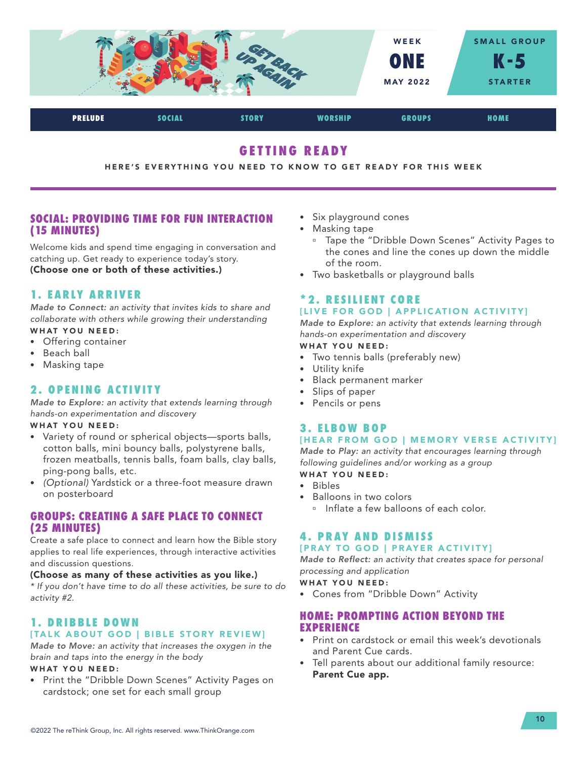

# **GETTING READY**

HERE'S EVERYTHING YOU NEED TO KNOW TO GET READY FOR THIS WEEK

# **SOCIAL: PROVIDING TIME FOR FUN INTERACTION (15 MINUTES)**

Welcome kids and spend time engaging in conversation and catching up. Get ready to experience today's story. (Choose one or both of these activities.)

# **1. EARLY ARRIVER**

*Made to Connect: an activity that invites kids to share and collaborate with others while growing their understanding* WHAT YOU NEED:

- Offering container
- Beach ball
- Masking tape

# **2. OPENING ACTIVITY**

*Made to Explore: an activity that extends learning through hands-on experimentation and discovery*

### WHAT YOU NEED:

- Variety of round or spherical objects—sports balls, cotton balls, mini bouncy balls, polystyrene balls, frozen meatballs, tennis balls, foam balls, clay balls, ping-pong balls, etc.
- *(Optional)* Yardstick or a three-foot measure drawn on posterboard

# **GROUPS: CREATING A SAFE PLACE TO CONNECT (25 MINUTES)**

Create a safe place to connect and learn how the Bible story applies to real life experiences, through interactive activities and discussion questions.

### (Choose as many of these activities as you like.)

*\* If you don't have time to do all these activities, be sure to do activity #2.*

# **1. DRIBBLE DOWN** [TALK ABOUT GOD | BIBLE STORY REVIEW]

*Made to Move: an activity that increases the oxygen in the brain and taps into the energy in the body*

# WHAT YOU NEED:

• Print the "Dribble Down Scenes" Activity Pages on cardstock; one set for each small group

- Six playground cones
- Masking tape
	- □ Tape the "Dribble Down Scenes" Activity Pages to the cones and line the cones up down the middle of the room.
- Two basketballs or playground balls

# **\* 2 . R E S I L I E N T C O R E**  [LIVE FOR GOD | APPLICATION ACTIVITY]

*Made to Explore: an activity that extends learning through hands-on experimentation and discovery*

# WHAT YOU NEED:

- Two tennis balls (preferably new)
- Utility knife
- Black permanent marker
- Slips of paper
- Pencils or pens

# **3. ELBOW BOP**

# [HEAR FROM GOD | MEMORY VERSE ACTIVITY]

*Made to Play: an activity that encourages learning through following guidelines and/or working as a group*

- WHAT YOU NEED:
- Bibles
- Balloons in two colors
	- **Inflate a few balloons of each color.**

# **4. PRAY AND DISMISS** [PRAY TO GOD | PRAYER ACTIVITY]

*Made to Reflect: an activity that creates space for personal processing and application*

### WHAT YOU NEED:

• Cones from "Dribble Down" Activity

# **HOME: PROMPTING ACTION BEYOND THE EXPERIENCE**

- Print on cardstock or email this week's devotionals and Parent Cue cards.
- Tell parents about our additional family resource: Parent Cue app.